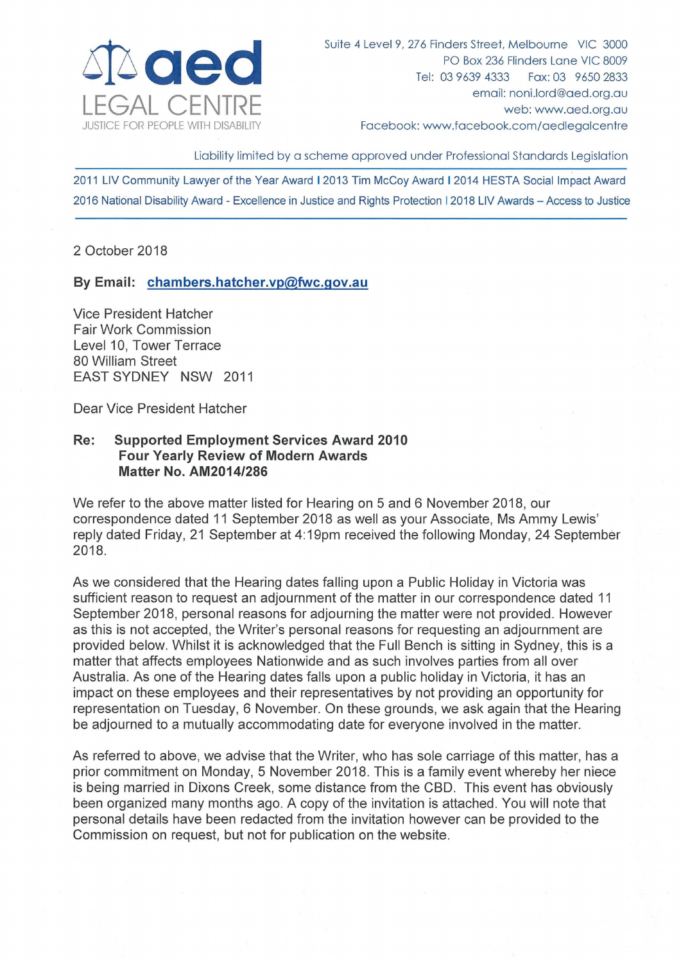

Suite 4 Level 9, 276 Finders Street, Melbourne VIC 3000 PO Box 236 Flinders Lane VIC 8009 Tel: 03 9639 4333 Fax: 03 9650 2833 email: noni.lord@aed.org.au web: www.aed.org.au Facebook: www.facebook.com/aedlegalcentre

Liability limited by a scheme approved under Professional Standards Legislation

2011 LIV Community Lawyer of the Year Award I 2013 Tim McCoy Award I 2014 HESTA Social Impact Award 2016 National Disability Award- Excellence in Justice and Rights Protection 12018 LIV Awards - Access to Justice

2 October 2018

**By Email: chambers.hatcher.vp@fwc.gov.au** 

Vice President Hatcher Fair Work Commission Level 10, Tower Terrace 80 William Street EAST SYDNEY NSW 2011

Dear Vice President Hatcher

## **Re: Supported Employment Services Award 2010 Four Yearly Review of Modern Awards Matter No. AM2014/286**

We refer to the above matter listed for Hearing on 5 and 6 November 2018, our correspondence dated 11 September 2018 as well as your Associate, Ms Ammy Lewis' reply dated Friday, 21 September at 4:19pm received the following Monday, 24 September 2018.

As we considered that the Hearing dates falling upon a Public Holiday in Victoria was sufficient reason to request an adjournment of the matter in our correspondence dated 11 September 2018, personal reasons for adjourning the matter were not provided. However as this is not accepted, the Writer's personal reasons for requesting an adjournment are provided below. Whilst it is acknowledged that the Full Bench is sitting in Sydney, this is a matter that affects employees Nationwide and as such involves parties from all over Australia. As one of the Hearing dates falls upon a public holiday in Victoria, it has an impact on these employees and their representatives by not providing an opportunity for representation on Tuesday, 6 November. On these grounds, we ask again that the Hearing be adjourned to a mutually accommodating date for everyone involved in the matter.

As referred to above, we advise that the Writer, who has sole carriage of this matter, has a prior commitment on Monday, 5 November 2018. This is a family event whereby her niece is being married in Dixons Creek, some distance from the CBD. This event has obviously been organized many months ago. A copy of the invitation is attached. You will note that personal details have been redacted from the invitation however can be provided to the Commission on request, but not for publication on the website.